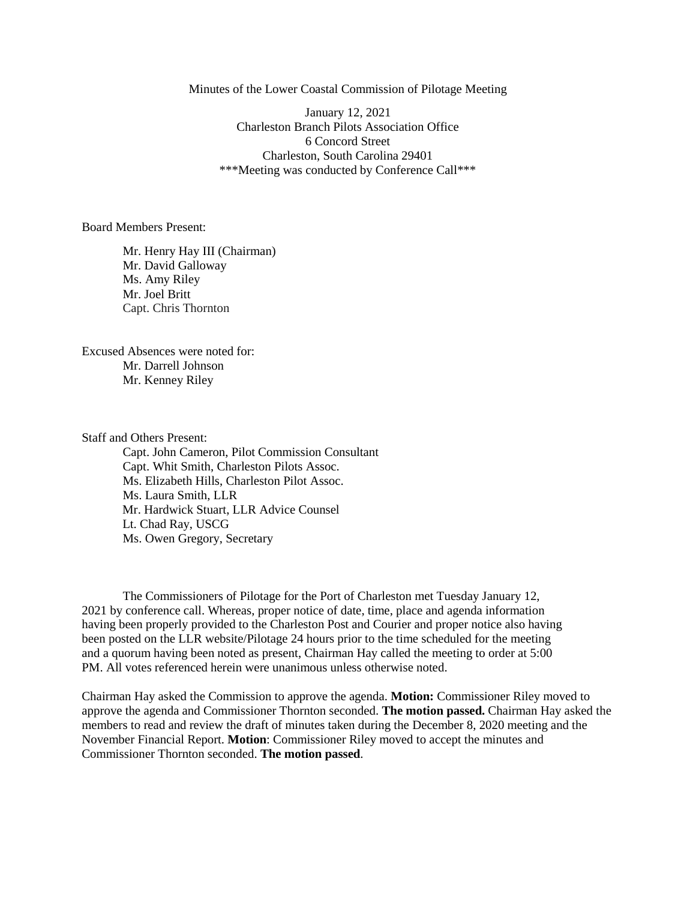Minutes of the Lower Coastal Commission of Pilotage Meeting

 January 12, 2021 Charleston Branch Pilots Association Office 6 Concord Street Charleston, South Carolina 29401 \*\*\*Meeting was conducted by Conference Call\*\*\*

Board Members Present:

Mr. Henry Hay III (Chairman) Mr. David Galloway Ms. Amy Riley Mr. Joel Britt Capt. Chris Thornton

Excused Absences were noted for: Mr. Darrell Johnson Mr. Kenney Riley

Staff and Others Present:

Capt. John Cameron, Pilot Commission Consultant Capt. Whit Smith, Charleston Pilots Assoc. Ms. Elizabeth Hills, Charleston Pilot Assoc. Ms. Laura Smith, LLR Mr. Hardwick Stuart, LLR Advice Counsel Lt. Chad Ray, USCG Ms. Owen Gregory, Secretary

The Commissioners of Pilotage for the Port of Charleston met Tuesday January 12, 2021 by conference call. Whereas, proper notice of date, time, place and agenda information having been properly provided to the Charleston Post and Courier and proper notice also having been posted on the LLR website/Pilotage 24 hours prior to the time scheduled for the meeting and a quorum having been noted as present, Chairman Hay called the meeting to order at 5:00 PM. All votes referenced herein were unanimous unless otherwise noted.

Chairman Hay asked the Commission to approve the agenda. **Motion:** Commissioner Riley moved to approve the agenda and Commissioner Thornton seconded. **The motion passed.** Chairman Hay asked the members to read and review the draft of minutes taken during the December 8, 2020 meeting and the November Financial Report. **Motion**: Commissioner Riley moved to accept the minutes and Commissioner Thornton seconded. **The motion passed**.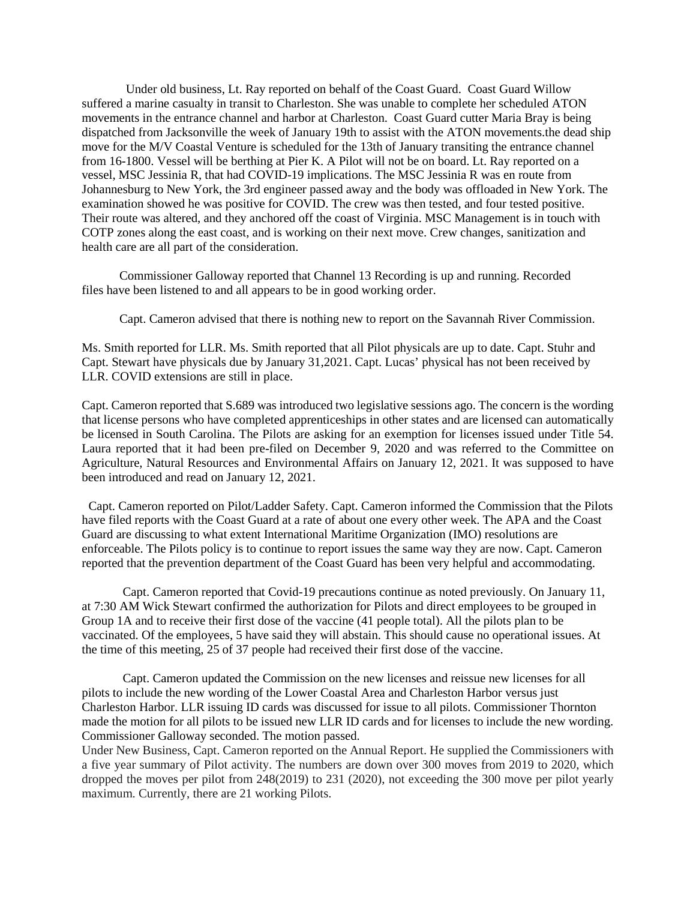Under old business, Lt. Ray reported on behalf of the Coast Guard. Coast Guard Willow suffered a marine casualty in transit to Charleston. She was unable to complete her scheduled ATON movements in the entrance channel and harbor at Charleston. Coast Guard cutter Maria Bray is being dispatched from Jacksonville the week of January 19th to assist with the ATON movements.the dead ship move for the M/V Coastal Venture is scheduled for the 13th of January transiting the entrance channel from 16-1800. Vessel will be berthing at Pier K. A Pilot will not be on board. Lt. Ray reported on a vessel, MSC Jessinia R, that had COVID-19 implications. The MSC Jessinia R was en route from Johannesburg to New York, the 3rd engineer passed away and the body was offloaded in New York. The examination showed he was positive for COVID. The crew was then tested, and four tested positive. Their route was altered, and they anchored off the coast of Virginia. MSC Management is in touch with COTP zones along the east coast, and is working on their next move. Crew changes, sanitization and health care are all part of the consideration.

Commissioner Galloway reported that Channel 13 Recording is up and running. Recorded files have been listened to and all appears to be in good working order.

Capt. Cameron advised that there is nothing new to report on the Savannah River Commission.

Ms. Smith reported for LLR. Ms. Smith reported that all Pilot physicals are up to date. Capt. Stuhr and Capt. Stewart have physicals due by January 31,2021. Capt. Lucas' physical has not been received by LLR. COVID extensions are still in place.

Capt. Cameron reported that S.689 was introduced two legislative sessions ago. The concern is the wording that license persons who have completed apprenticeships in other states and are licensed can automatically be licensed in South Carolina. The Pilots are asking for an exemption for licenses issued under Title 54. Laura reported that it had been pre-filed on December 9, 2020 and was referred to the Committee on Agriculture, Natural Resources and Environmental Affairs on January 12, 2021. It was supposed to have been introduced and read on January 12, 2021.

Capt. Cameron reported on Pilot/Ladder Safety. Capt. Cameron informed the Commission that the Pilots have filed reports with the Coast Guard at a rate of about one every other week. The APA and the Coast Guard are discussing to what extent International Maritime Organization (IMO) resolutions are enforceable. The Pilots policy is to continue to report issues the same way they are now. Capt. Cameron reported that the prevention department of the Coast Guard has been very helpful and accommodating.

Capt. Cameron reported that Covid-19 precautions continue as noted previously. On January 11, at 7:30 AM Wick Stewart confirmed the authorization for Pilots and direct employees to be grouped in Group 1A and to receive their first dose of the vaccine (41 people total). All the pilots plan to be vaccinated. Of the employees, 5 have said they will abstain. This should cause no operational issues. At the time of this meeting, 25 of 37 people had received their first dose of the vaccine.

Capt. Cameron updated the Commission on the new licenses and reissue new licenses for all pilots to include the new wording of the Lower Coastal Area and Charleston Harbor versus just Charleston Harbor. LLR issuing ID cards was discussed for issue to all pilots. Commissioner Thornton made the motion for all pilots to be issued new LLR ID cards and for licenses to include the new wording. Commissioner Galloway seconded. The motion passed.

Under New Business, Capt. Cameron reported on the Annual Report. He supplied the Commissioners with a five year summary of Pilot activity. The numbers are down over 300 moves from 2019 to 2020, which dropped the moves per pilot from 248(2019) to 231 (2020), not exceeding the 300 move per pilot yearly maximum. Currently, there are 21 working Pilots.